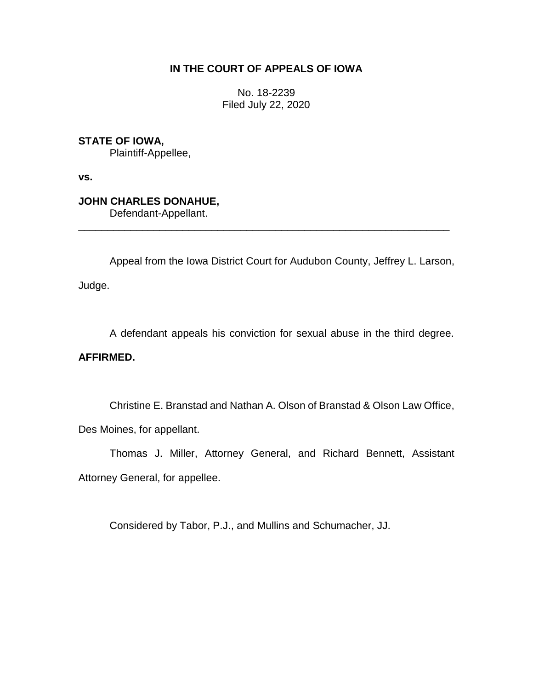# **IN THE COURT OF APPEALS OF IOWA**

No. 18-2239 Filed July 22, 2020

**STATE OF IOWA,**

Plaintiff-Appellee,

**vs.**

**JOHN CHARLES DONAHUE,**

Defendant-Appellant.

Appeal from the Iowa District Court for Audubon County, Jeffrey L. Larson,

\_\_\_\_\_\_\_\_\_\_\_\_\_\_\_\_\_\_\_\_\_\_\_\_\_\_\_\_\_\_\_\_\_\_\_\_\_\_\_\_\_\_\_\_\_\_\_\_\_\_\_\_\_\_\_\_\_\_\_\_\_\_\_\_

Judge.

A defendant appeals his conviction for sexual abuse in the third degree.

**AFFIRMED.**

Christine E. Branstad and Nathan A. Olson of Branstad & Olson Law Office,

Des Moines, for appellant.

Thomas J. Miller, Attorney General, and Richard Bennett, Assistant Attorney General, for appellee.

Considered by Tabor, P.J., and Mullins and Schumacher, JJ.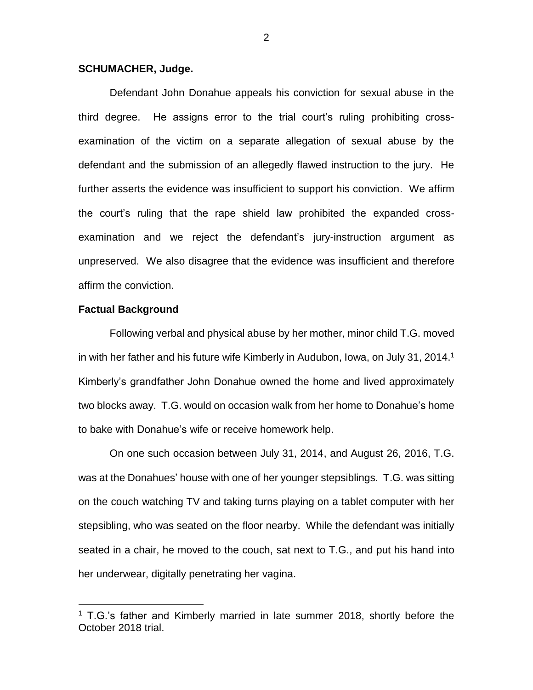## **SCHUMACHER, Judge.**

Defendant John Donahue appeals his conviction for sexual abuse in the third degree. He assigns error to the trial court's ruling prohibiting crossexamination of the victim on a separate allegation of sexual abuse by the defendant and the submission of an allegedly flawed instruction to the jury. He further asserts the evidence was insufficient to support his conviction. We affirm the court's ruling that the rape shield law prohibited the expanded crossexamination and we reject the defendant's jury-instruction argument as unpreserved. We also disagree that the evidence was insufficient and therefore affirm the conviction.

### **Factual Background**

 $\overline{a}$ 

Following verbal and physical abuse by her mother, minor child T.G. moved in with her father and his future wife Kimberly in Audubon, Iowa, on July 31, 2014.<sup>1</sup> Kimberly's grandfather John Donahue owned the home and lived approximately two blocks away. T.G. would on occasion walk from her home to Donahue's home to bake with Donahue's wife or receive homework help.

On one such occasion between July 31, 2014, and August 26, 2016, T.G. was at the Donahues' house with one of her younger stepsiblings. T.G. was sitting on the couch watching TV and taking turns playing on a tablet computer with her stepsibling, who was seated on the floor nearby. While the defendant was initially seated in a chair, he moved to the couch, sat next to T.G., and put his hand into her underwear, digitally penetrating her vagina.

<sup>&</sup>lt;sup>1</sup> T.G.'s father and Kimberly married in late summer 2018, shortly before the October 2018 trial.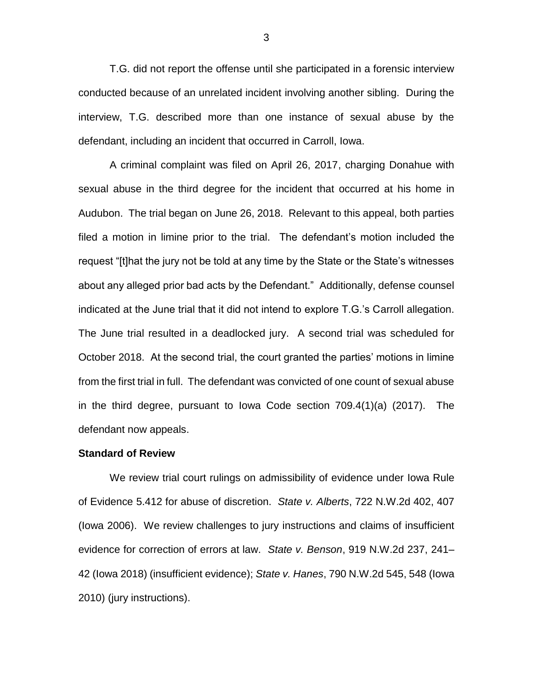T.G. did not report the offense until she participated in a forensic interview conducted because of an unrelated incident involving another sibling. During the interview, T.G. described more than one instance of sexual abuse by the defendant, including an incident that occurred in Carroll, Iowa.

A criminal complaint was filed on April 26, 2017, charging Donahue with sexual abuse in the third degree for the incident that occurred at his home in Audubon. The trial began on June 26, 2018. Relevant to this appeal, both parties filed a motion in limine prior to the trial. The defendant's motion included the request "[t]hat the jury not be told at any time by the State or the State's witnesses about any alleged prior bad acts by the Defendant." Additionally, defense counsel indicated at the June trial that it did not intend to explore T.G.'s Carroll allegation. The June trial resulted in a deadlocked jury. A second trial was scheduled for October 2018. At the second trial, the court granted the parties' motions in limine from the first trial in full. The defendant was convicted of one count of sexual abuse in the third degree, pursuant to Iowa Code section 709.4(1)(a) (2017). The defendant now appeals.

#### **Standard of Review**

We review trial court rulings on admissibility of evidence under Iowa Rule of Evidence 5.412 for abuse of discretion. *State v. Alberts*, 722 N.W.2d 402, 407 (Iowa 2006). We review challenges to jury instructions and claims of insufficient evidence for correction of errors at law. *State v. Benson*, 919 N.W.2d 237, 241– 42 (Iowa 2018) (insufficient evidence); *State v. Hanes*, 790 N.W.2d 545, 548 (Iowa 2010) (jury instructions).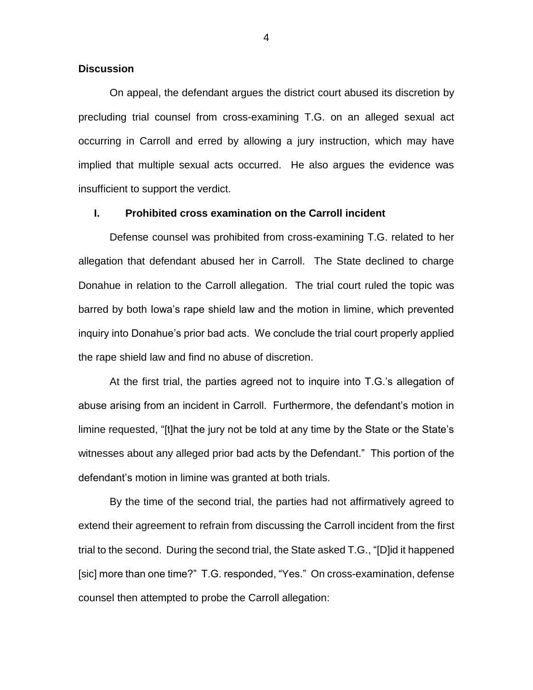## **Discussion**

On appeal, the defendant argues the district court abused its discretion by precluding trial counsel from cross-examining T.G. on an alleged sexual act occurring in Carroll and erred by allowing a jury instruction, which may have implied that multiple sexual acts occurred. He also argues the evidence was insufficient to support the verdict.

# **I. Prohibited cross examination on the Carroll incident**

Defense counsel was prohibited from cross-examining T.G. related to her allegation that defendant abused her in Carroll. The State declined to charge Donahue in relation to the Carroll allegation. The trial court ruled the topic was barred by both Iowa's rape shield law and the motion in limine, which prevented inquiry into Donahue's prior bad acts. We conclude the trial court properly applied the rape shield law and find no abuse of discretion.

At the first trial, the parties agreed not to inquire into T.G.'s allegation of abuse arising from an incident in Carroll. Furthermore, the defendant's motion in limine requested, "[t]hat the jury not be told at any time by the State or the State's witnesses about any alleged prior bad acts by the Defendant." This portion of the defendant's motion in limine was granted at both trials.

By the time of the second trial, the parties had not affirmatively agreed to extend their agreement to refrain from discussing the Carroll incident from the first trial to the second. During the second trial, the State asked T.G., "[D]id it happened [sic] more than one time?" T.G. responded, "Yes." On cross-examination, defense counsel then attempted to probe the Carroll allegation: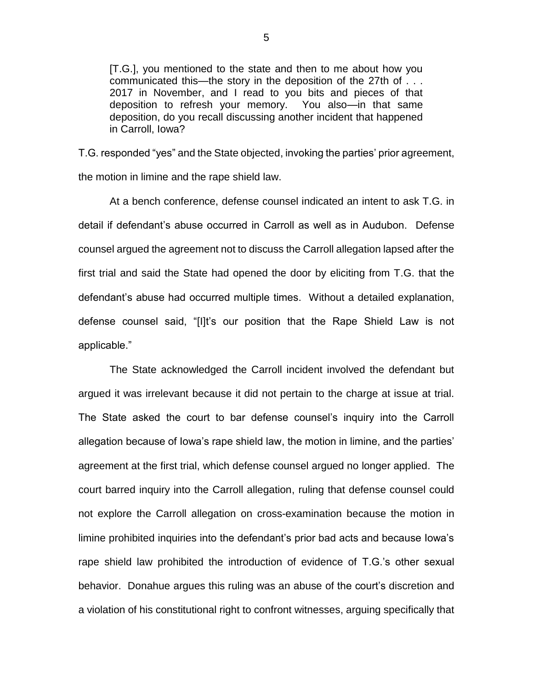[T.G.], you mentioned to the state and then to me about how you communicated this—the story in the deposition of the 27th of . . . 2017 in November, and I read to you bits and pieces of that deposition to refresh your memory. You also—in that same deposition, do you recall discussing another incident that happened in Carroll, Iowa?

T.G. responded "yes" and the State objected, invoking the parties' prior agreement, the motion in limine and the rape shield law.

At a bench conference, defense counsel indicated an intent to ask T.G. in detail if defendant's abuse occurred in Carroll as well as in Audubon. Defense counsel argued the agreement not to discuss the Carroll allegation lapsed after the first trial and said the State had opened the door by eliciting from T.G. that the defendant's abuse had occurred multiple times. Without a detailed explanation, defense counsel said, "[I]t's our position that the Rape Shield Law is not applicable."

The State acknowledged the Carroll incident involved the defendant but argued it was irrelevant because it did not pertain to the charge at issue at trial. The State asked the court to bar defense counsel's inquiry into the Carroll allegation because of Iowa's rape shield law, the motion in limine, and the parties' agreement at the first trial, which defense counsel argued no longer applied. The court barred inquiry into the Carroll allegation, ruling that defense counsel could not explore the Carroll allegation on cross-examination because the motion in limine prohibited inquiries into the defendant's prior bad acts and because Iowa's rape shield law prohibited the introduction of evidence of T.G.'s other sexual behavior. Donahue argues this ruling was an abuse of the court's discretion and a violation of his constitutional right to confront witnesses, arguing specifically that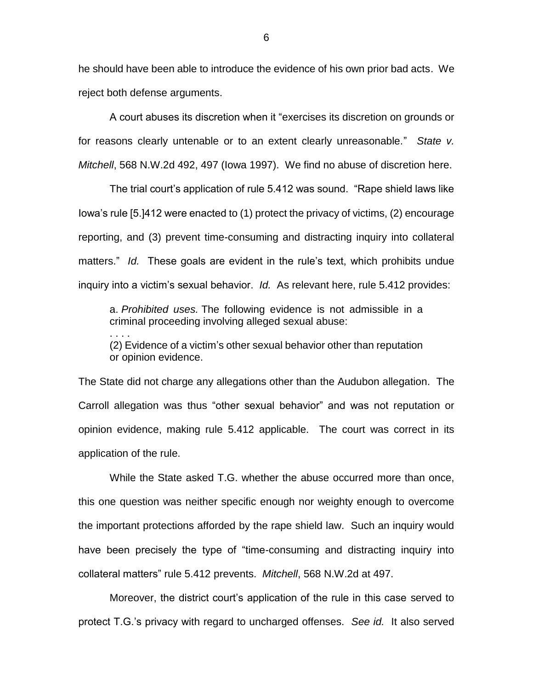he should have been able to introduce the evidence of his own prior bad acts. We reject both defense arguments.

A court abuses its discretion when it "exercises its discretion on grounds or for reasons clearly untenable or to an extent clearly unreasonable." *State v. Mitchell*, 568 N.W.2d 492, 497 (Iowa 1997). We find no abuse of discretion here.

The trial court's application of rule 5.412 was sound. "Rape shield laws like Iowa's rule [5.]412 were enacted to (1) protect the privacy of victims, (2) encourage reporting, and (3) prevent time-consuming and distracting inquiry into collateral matters." *Id.* These goals are evident in the rule's text, which prohibits undue inquiry into a victim's sexual behavior. *Id.* As relevant here, rule 5.412 provides:

a. *Prohibited uses.* The following evidence is not admissible in a criminal proceeding involving alleged sexual abuse:

. . . .

(2) Evidence of a victim's other sexual behavior other than reputation or opinion evidence.

The State did not charge any allegations other than the Audubon allegation. The Carroll allegation was thus "other sexual behavior" and was not reputation or opinion evidence, making rule 5.412 applicable. The court was correct in its application of the rule.

While the State asked T.G. whether the abuse occurred more than once, this one question was neither specific enough nor weighty enough to overcome the important protections afforded by the rape shield law. Such an inquiry would have been precisely the type of "time-consuming and distracting inquiry into collateral matters" rule 5.412 prevents. *Mitchell*, 568 N.W.2d at 497.

Moreover, the district court's application of the rule in this case served to protect T.G.'s privacy with regard to uncharged offenses. *See id.* It also served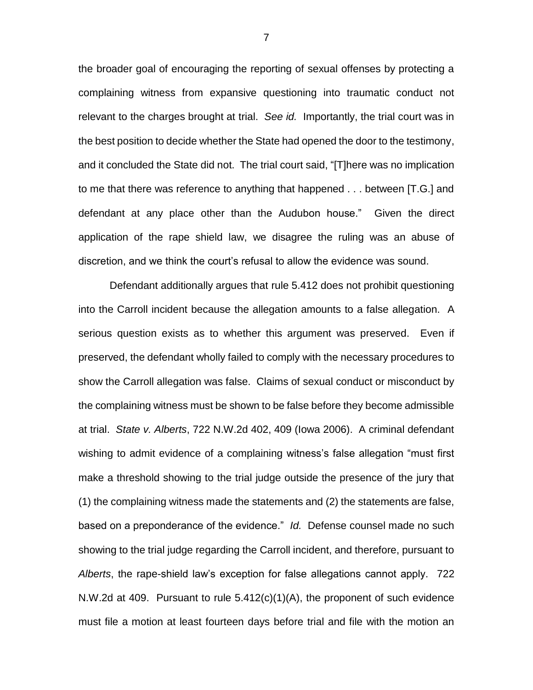the broader goal of encouraging the reporting of sexual offenses by protecting a complaining witness from expansive questioning into traumatic conduct not relevant to the charges brought at trial. *See id.* Importantly, the trial court was in the best position to decide whether the State had opened the door to the testimony, and it concluded the State did not. The trial court said, "[T]here was no implication to me that there was reference to anything that happened . . . between [T.G.] and defendant at any place other than the Audubon house." Given the direct application of the rape shield law, we disagree the ruling was an abuse of discretion, and we think the court's refusal to allow the evidence was sound.

Defendant additionally argues that rule 5.412 does not prohibit questioning into the Carroll incident because the allegation amounts to a false allegation. A serious question exists as to whether this argument was preserved. Even if preserved, the defendant wholly failed to comply with the necessary procedures to show the Carroll allegation was false. Claims of sexual conduct or misconduct by the complaining witness must be shown to be false before they become admissible at trial. *State v. Alberts*, 722 N.W.2d 402, 409 (Iowa 2006). A criminal defendant wishing to admit evidence of a complaining witness's false allegation "must first make a threshold showing to the trial judge outside the presence of the jury that (1) the complaining witness made the statements and (2) the statements are false, based on a preponderance of the evidence." *Id.* Defense counsel made no such showing to the trial judge regarding the Carroll incident, and therefore, pursuant to *Alberts*, the rape-shield law's exception for false allegations cannot apply. 722 N.W.2d at 409. Pursuant to rule 5.412(c)(1)(A), the proponent of such evidence must file a motion at least fourteen days before trial and file with the motion an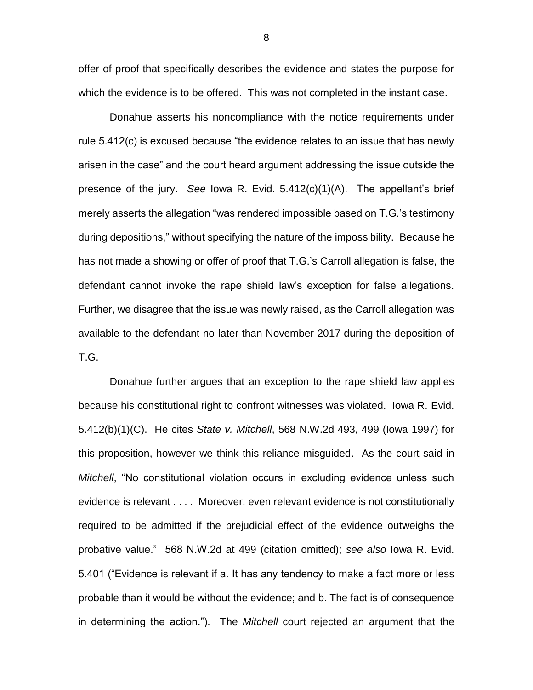offer of proof that specifically describes the evidence and states the purpose for which the evidence is to be offered. This was not completed in the instant case.

Donahue asserts his noncompliance with the notice requirements under rule 5.412(c) is excused because "the evidence relates to an issue that has newly arisen in the case" and the court heard argument addressing the issue outside the presence of the jury. *See* Iowa R. Evid. 5.412(c)(1)(A). The appellant's brief merely asserts the allegation "was rendered impossible based on T.G.'s testimony during depositions," without specifying the nature of the impossibility. Because he has not made a showing or offer of proof that T.G.'s Carroll allegation is false, the defendant cannot invoke the rape shield law's exception for false allegations. Further, we disagree that the issue was newly raised, as the Carroll allegation was available to the defendant no later than November 2017 during the deposition of T.G.

Donahue further argues that an exception to the rape shield law applies because his constitutional right to confront witnesses was violated. Iowa R. Evid. 5.412(b)(1)(C). He cites *State v. Mitchell*, 568 N.W.2d 493, 499 (Iowa 1997) for this proposition, however we think this reliance misguided. As the court said in *Mitchell*, "No constitutional violation occurs in excluding evidence unless such evidence is relevant . . . . Moreover, even relevant evidence is not constitutionally required to be admitted if the prejudicial effect of the evidence outweighs the probative value." 568 N.W.2d at 499 (citation omitted); *see also* Iowa R. Evid. 5.401 ("Evidence is relevant if a. It has any tendency to make a fact more or less probable than it would be without the evidence; and b. The fact is of consequence in determining the action."). The *Mitchell* court rejected an argument that the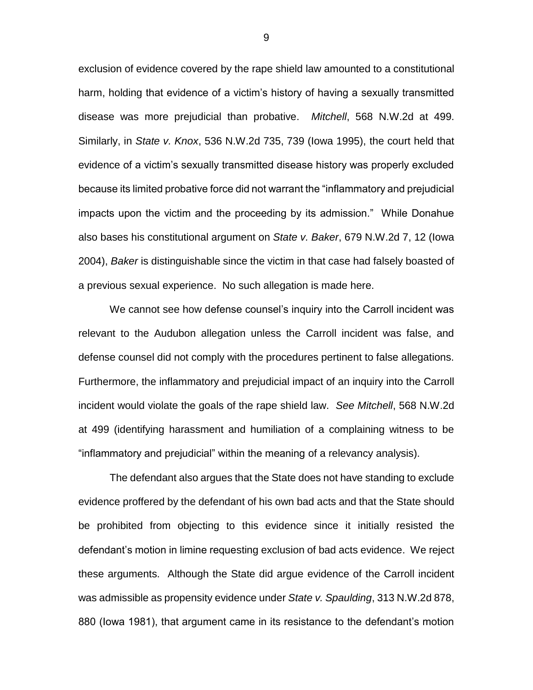exclusion of evidence covered by the rape shield law amounted to a constitutional harm, holding that evidence of a victim's history of having a sexually transmitted disease was more prejudicial than probative. *Mitchell*, 568 N.W.2d at 499. Similarly, in *State v. Knox*, 536 N.W.2d 735, 739 (Iowa 1995), the court held that evidence of a victim's sexually transmitted disease history was properly excluded because its limited probative force did not warrant the "inflammatory and prejudicial impacts upon the victim and the proceeding by its admission." While Donahue also bases his constitutional argument on *State v. Baker*, 679 N.W.2d 7, 12 (Iowa 2004), *Baker* is distinguishable since the victim in that case had falsely boasted of a previous sexual experience. No such allegation is made here.

We cannot see how defense counsel's inquiry into the Carroll incident was relevant to the Audubon allegation unless the Carroll incident was false, and defense counsel did not comply with the procedures pertinent to false allegations. Furthermore, the inflammatory and prejudicial impact of an inquiry into the Carroll incident would violate the goals of the rape shield law. *See Mitchell*, 568 N.W.2d at 499 (identifying harassment and humiliation of a complaining witness to be "inflammatory and prejudicial" within the meaning of a relevancy analysis).

The defendant also argues that the State does not have standing to exclude evidence proffered by the defendant of his own bad acts and that the State should be prohibited from objecting to this evidence since it initially resisted the defendant's motion in limine requesting exclusion of bad acts evidence. We reject these arguments. Although the State did argue evidence of the Carroll incident was admissible as propensity evidence under *State v. Spaulding*, 313 N.W.2d 878, 880 (Iowa 1981), that argument came in its resistance to the defendant's motion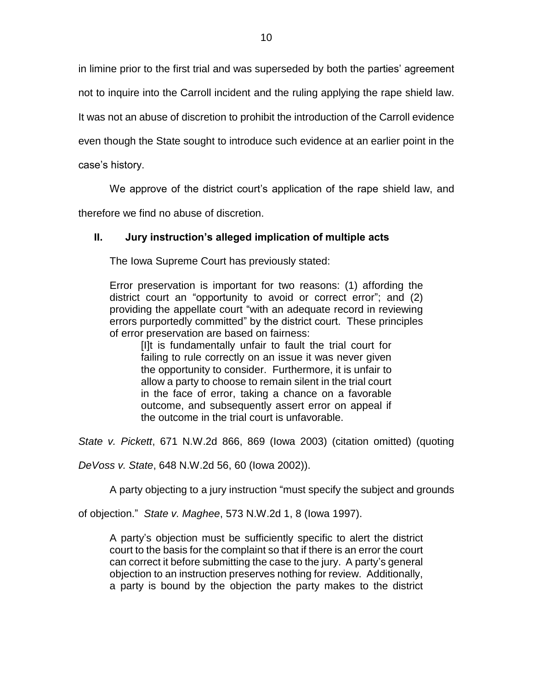in limine prior to the first trial and was superseded by both the parties' agreement

not to inquire into the Carroll incident and the ruling applying the rape shield law.

It was not an abuse of discretion to prohibit the introduction of the Carroll evidence

even though the State sought to introduce such evidence at an earlier point in the

case's history.

We approve of the district court's application of the rape shield law, and

therefore we find no abuse of discretion.

# **II. Jury instruction's alleged implication of multiple acts**

The Iowa Supreme Court has previously stated:

Error preservation is important for two reasons: (1) affording the district court an "opportunity to avoid or correct error"; and (2) providing the appellate court "with an adequate record in reviewing errors purportedly committed" by the district court. These principles of error preservation are based on fairness:

[I]t is fundamentally unfair to fault the trial court for failing to rule correctly on an issue it was never given the opportunity to consider. Furthermore, it is unfair to allow a party to choose to remain silent in the trial court in the face of error, taking a chance on a favorable outcome, and subsequently assert error on appeal if the outcome in the trial court is unfavorable.

*State v. Pickett*, 671 N.W.2d 866, 869 (Iowa 2003) (citation omitted) (quoting

*DeVoss v. State*, 648 N.W.2d 56, 60 (Iowa 2002)).

A party objecting to a jury instruction "must specify the subject and grounds

of objection." *State v. Maghee*, 573 N.W.2d 1, 8 (Iowa 1997).

A party's objection must be sufficiently specific to alert the district court to the basis for the complaint so that if there is an error the court can correct it before submitting the case to the jury. A party's general objection to an instruction preserves nothing for review. Additionally, a party is bound by the objection the party makes to the district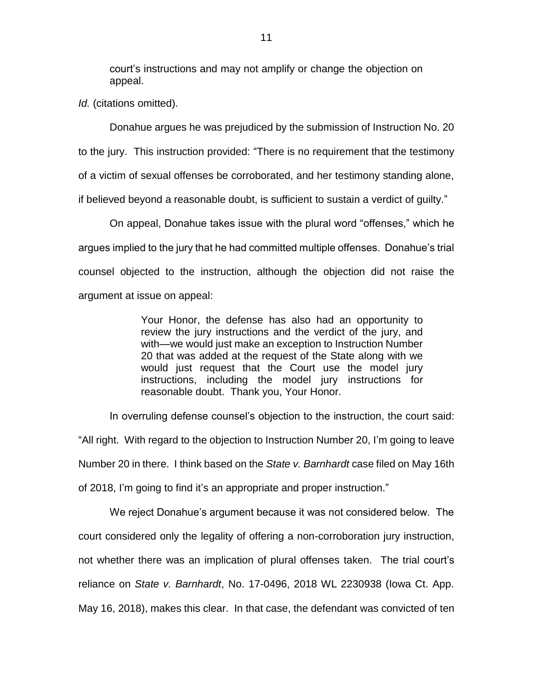court's instructions and may not amplify or change the objection on appeal.

*Id.* (citations omitted).

Donahue argues he was prejudiced by the submission of Instruction No. 20 to the jury. This instruction provided: "There is no requirement that the testimony of a victim of sexual offenses be corroborated, and her testimony standing alone, if believed beyond a reasonable doubt, is sufficient to sustain a verdict of guilty."

On appeal, Donahue takes issue with the plural word "offenses," which he argues implied to the jury that he had committed multiple offenses. Donahue's trial counsel objected to the instruction, although the objection did not raise the argument at issue on appeal:

> Your Honor, the defense has also had an opportunity to review the jury instructions and the verdict of the jury, and with—we would just make an exception to Instruction Number 20 that was added at the request of the State along with we would just request that the Court use the model jury instructions, including the model jury instructions for reasonable doubt. Thank you, Your Honor.

In overruling defense counsel's objection to the instruction, the court said:

"All right. With regard to the objection to Instruction Number 20, I'm going to leave Number 20 in there. I think based on the *State v. Barnhardt* case filed on May 16th of 2018, I'm going to find it's an appropriate and proper instruction."

We reject Donahue's argument because it was not considered below. The court considered only the legality of offering a non-corroboration jury instruction, not whether there was an implication of plural offenses taken. The trial court's reliance on *State v. Barnhardt*, No. 17-0496, 2018 WL 2230938 (Iowa Ct. App. May 16, 2018), makes this clear. In that case, the defendant was convicted of ten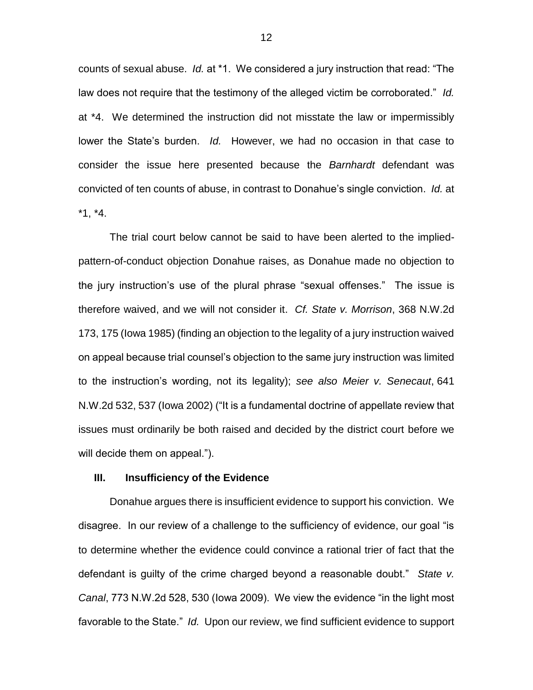counts of sexual abuse. *Id.* at \*1. We considered a jury instruction that read: "The law does not require that the testimony of the alleged victim be corroborated." *Id.*  at \*4. We determined the instruction did not misstate the law or impermissibly lower the State's burden. *Id.* However, we had no occasion in that case to consider the issue here presented because the *Barnhardt* defendant was convicted of ten counts of abuse, in contrast to Donahue's single conviction. *Id.* at \*1, \*4.

The trial court below cannot be said to have been alerted to the impliedpattern-of-conduct objection Donahue raises, as Donahue made no objection to the jury instruction's use of the plural phrase "sexual offenses." The issue is therefore waived, and we will not consider it. *Cf. State v. Morrison*, 368 N.W.2d 173, 175 (Iowa 1985) (finding an objection to the legality of a jury instruction waived on appeal because trial counsel's objection to the same jury instruction was limited to the instruction's wording, not its legality); *see also Meier v. Senecaut*, 641 N.W.2d 532, 537 (Iowa 2002) ("It is a fundamental doctrine of appellate review that issues must ordinarily be both raised and decided by the district court before we will decide them on appeal.").

### **III. Insufficiency of the Evidence**

Donahue argues there is insufficient evidence to support his conviction. We disagree. In our review of a challenge to the sufficiency of evidence, our goal "is to determine whether the evidence could convince a rational trier of fact that the defendant is guilty of the crime charged beyond a reasonable doubt." *State v. Canal*, 773 N.W.2d 528, 530 (Iowa 2009). We view the evidence "in the light most favorable to the State." *Id.* Upon our review, we find sufficient evidence to support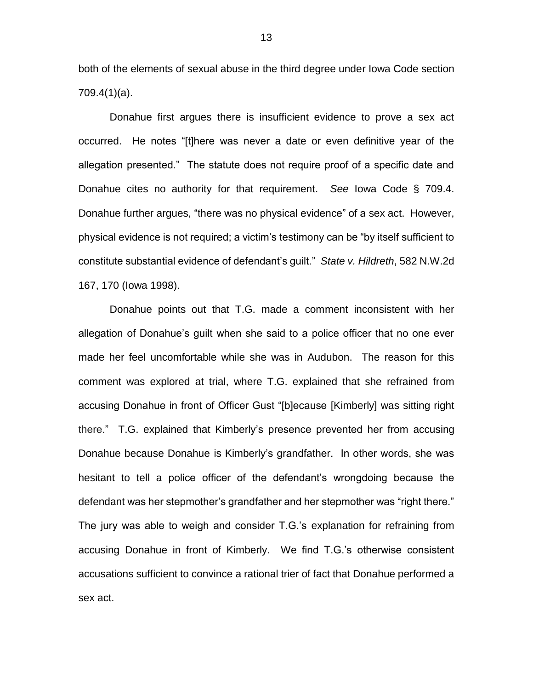both of the elements of sexual abuse in the third degree under Iowa Code section 709.4(1)(a).

Donahue first argues there is insufficient evidence to prove a sex act occurred. He notes "[t]here was never a date or even definitive year of the allegation presented." The statute does not require proof of a specific date and Donahue cites no authority for that requirement. *See* Iowa Code § 709.4. Donahue further argues, "there was no physical evidence" of a sex act. However, physical evidence is not required; a victim's testimony can be "by itself sufficient to constitute substantial evidence of defendant's guilt." *State v. Hildreth*, 582 N.W.2d 167, 170 (Iowa 1998).

Donahue points out that T.G. made a comment inconsistent with her allegation of Donahue's guilt when she said to a police officer that no one ever made her feel uncomfortable while she was in Audubon. The reason for this comment was explored at trial, where T.G. explained that she refrained from accusing Donahue in front of Officer Gust "[b]ecause [Kimberly] was sitting right there." T.G. explained that Kimberly's presence prevented her from accusing Donahue because Donahue is Kimberly's grandfather. In other words, she was hesitant to tell a police officer of the defendant's wrongdoing because the defendant was her stepmother's grandfather and her stepmother was "right there." The jury was able to weigh and consider T.G.'s explanation for refraining from accusing Donahue in front of Kimberly. We find T.G.'s otherwise consistent accusations sufficient to convince a rational trier of fact that Donahue performed a sex act.